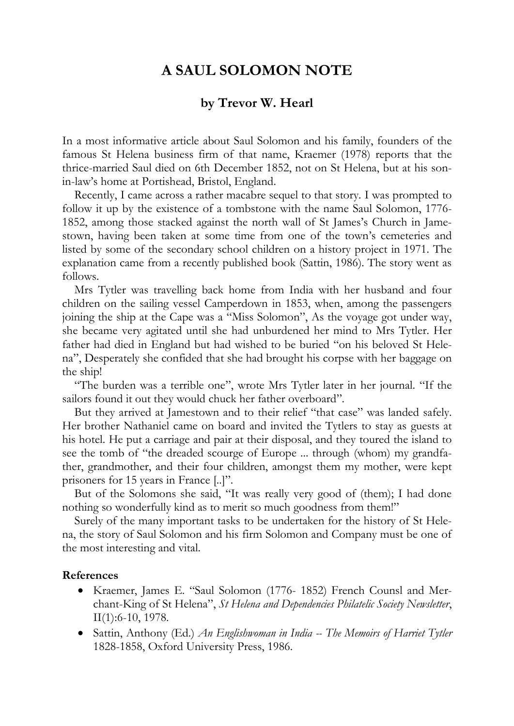## **A SAUL SOLOMON NOTE**

## **by Trevor W. Hearl**

In a most informative article about Saul Solomon and his family, founders of the famous St Helena business firm of that name, Kraemer (1978) reports that the thrice-married Saul died on 6th December 1852, not on St Helena, but at his sonin-law's home at Portishead, Bristol, England.

Recently, I came across a rather macabre sequel to that story. I was prompted to follow it up by the existence of a tombstone with the name Saul Solomon, 1776- 1852, among those stacked against the north wall of St James's Church in Jamestown, having been taken at some time from one of the town's cemeteries and listed by some of the secondary school children on a history project in 1971. The explanation came from a recently published book (Sattin, 1986). The story went as follows.

Mrs Tytler was travelling back home from India with her husband and four children on the sailing vessel Camperdown in 1853, when, among the passengers joining the ship at the Cape was a "Miss Solomon", As the voyage got under way, she became very agitated until she had unburdened her mind to Mrs Tytler. Her father had died in England but had wished to be buried "on his beloved St Helena", Desperately she confided that she had brought his corpse with her baggage on the ship!

"The burden was a terrible one", wrote Mrs Tytler later in her journal. "If the sailors found it out they would chuck her father overboard".

But they arrived at Jamestown and to their relief "that case" was landed safely. Her brother Nathaniel came on board and invited the Tytlers to stay as guests at his hotel. He put a carriage and pair at their disposal, and they toured the island to see the tomb of "the dreaded scourge of Europe ... through (whom) my grandfather, grandmother, and their four children, amongst them my mother, were kept prisoners for 15 years in France [..]".

But of the Solomons she said, "It was really very good of (them); I had done nothing so wonderfully kind as to merit so much goodness from them!"

Surely of the many important tasks to be undertaken for the history of St Helena, the story of Saul Solomon and his firm Solomon and Company must be one of the most interesting and vital.

## **References**

- Kraemer, James E. "Saul Solomon (1776- 1852) French Counsl and Merchant-King of St Helena", *St Helena and Dependencies Philatelic Society Newsletter*, II(1):6-10, 1978.
- Sattin, Anthony (Ed.) *An Englishwoman in India -- The Memoirs of Harriet Tytler* 1828-1858, Oxford University Press, 1986.